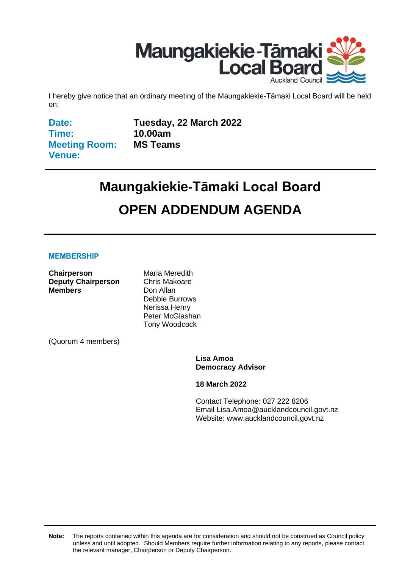

I hereby give notice that an ordinary meeting of the Maungakiekie-Tāmaki Local Board will be held on:

**Date: Time: Meeting Room: Venue:**

**Tuesday, 22 March 2022 10.00am MS Teams**

# **Maungakiekie-Tāmaki Local Board OPEN ADDENDUM AGENDA**

#### **MEMBERSHIP**

**Chairperson** Maria Meredith **Deputy Chairperson** Chris Makoare **Members** Don Allan

Debbie Burrows Nerissa Henry Peter McGlashan Tony Woodcock

(Quorum 4 members)

**Lisa Amoa Democracy Advisor**

**18 March 2022**

Contact Telephone: 027 222 8206 Email: Lisa.Amoa@aucklandcouncil.govt.nz Website: www.aucklandcouncil.govt.nz

**Note:** The reports contained within this agenda are for consideration and should not be construed as Council policy unless and until adopted. Should Members require further information relating to any reports, please contact the relevant manager, Chairperson or Deputy Chairperson.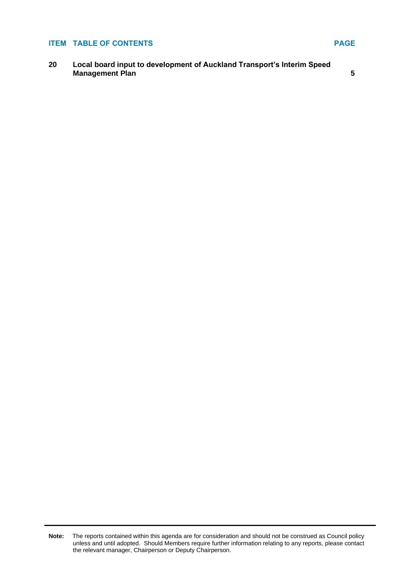#### **ITEM TABLE OF CONTENTS PAGE**

**20 Local board input to development of Auckland Transport's Interim Speed Management Plan** [5](#page-4-0)

**Note:** The reports contained within this agenda are for consideration and should not be construed as Council policy unless and until adopted. Should Members require further information relating to any reports, please contact the relevant manager, Chairperson or Deputy Chairperson.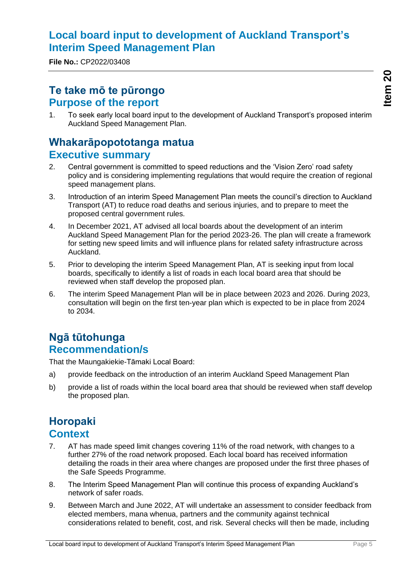# <span id="page-4-0"></span>**Local board input to development of Auckland Transport's Interim Speed Management Plan**

**File No.:** CP2022/03408

## **Te take mō te pūrongo Purpose of the report**

1. To seek early local board input to the development of Auckland Transport's proposed interim Auckland Speed Management Plan.

# **Whakarāpopototanga matua Executive summary**

- 2. Central government is committed to speed reductions and the 'Vision Zero' road safety policy and is considering implementing regulations that would require the creation of regional speed management plans.
- 3. Introduction of an interim Speed Management Plan meets the council's direction to Auckland Transport (AT) to reduce road deaths and serious injuries, and to prepare to meet the proposed central government rules.
- 4. In December 2021, AT advised all local boards about the development of an interim Auckland Speed Management Plan for the period 2023-26. The plan will create a framework for setting new speed limits and will influence plans for related safety infrastructure across Auckland.
- 5. Prior to developing the interim Speed Management Plan, AT is seeking input from local boards, specifically to identify a list of roads in each local board area that should be reviewed when staff develop the proposed plan.
- 6. The interim Speed Management Plan will be in place between 2023 and 2026. During 2023, consultation will begin on the first ten-year plan which is expected to be in place from 2024 to 2034.

# **Ngā tūtohunga Recommendation/s**

That the Maungakiekie-Tāmaki Local Board:

- a) provide feedback on the introduction of an interim Auckland Speed Management Plan
- b) provide a list of roads within the local board area that should be reviewed when staff develop the proposed plan.

# **Horopaki Context**

- 7. AT has made speed limit changes covering 11% of the road network, with changes to a further 27% of the road network proposed. Each local board has received information detailing the roads in their area where changes are proposed under the first three phases of the Safe Speeds Programme.
- 8. The Interim Speed Management Plan will continue this process of expanding Auckland's network of safer roads.
- 9. Between March and June 2022, AT will undertake an assessment to consider feedback from elected members, mana whenua, partners and the community against technical considerations related to benefit, cost, and risk. Several checks will then be made, including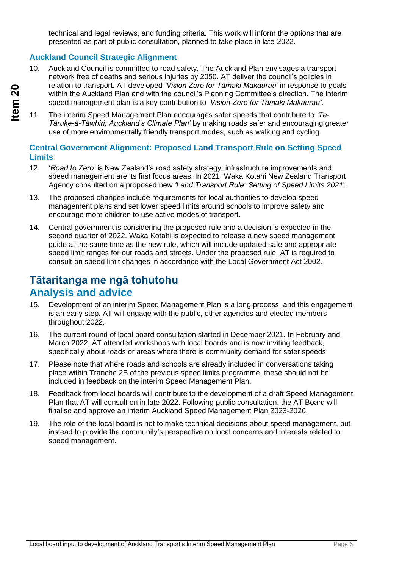technical and legal reviews, and funding criteria. This work will inform the options that are presented as part of public consultation, planned to take place in late-2022.

#### **Auckland Council Strategic Alignment**

- 10. Auckland Council is committed to road safety. The Auckland Plan envisages a transport network free of deaths and serious injuries by 2050. AT deliver the council's policies in relation to transport. AT developed *'Vision Zero for Tāmaki Makaurau'* in response to goals within the Auckland Plan and with the council's Planning Committee's direction. The interim speed management plan is a key contribution to *'Vision Zero for Tāmaki Makaurau'.*
- 11. The interim Speed Management Plan encourages safer speeds that contribute to *'Te-Tāruke-ā-Tāwhiri: Auckland's Climate Plan'* by making roads safer and encouraging greater use of more environmentally friendly transport modes, such as walking and cycling.

#### **Central Government Alignment: Proposed Land Transport Rule on Setting Speed Limits**

- 12. '*Road to Zero'* is New Zealand's road safety strategy; infrastructure improvements and speed management are its first focus areas. In 2021, Waka Kotahi New Zealand Transport Agency consulted on a proposed new *'Land Transport Rule: Setting of Speed Limits 2021*'.
- 13. The proposed changes include requirements for local authorities to develop speed management plans and set lower speed limits around schools to improve safety and encourage more children to use active modes of transport.
- 14. Central government is considering the proposed rule and a decision is expected in the second quarter of 2022. Waka Kotahi is expected to release a new speed management guide at the same time as the new rule, which will include updated safe and appropriate speed limit ranges for our roads and streets. Under the proposed rule, AT is required to consult on speed limit changes in accordance with the Local Government Act 2002.

# **Tātaritanga me ngā tohutohu Analysis and advice**

- 15. Development of an interim Speed Management Plan is a long process, and this engagement is an early step. AT will engage with the public, other agencies and elected members throughout 2022.
- 16. The current round of local board consultation started in December 2021. In February and March 2022, AT attended workshops with local boards and is now inviting feedback, specifically about roads or areas where there is community demand for safer speeds.
- 17. Please note that where roads and schools are already included in conversations taking place within Tranche 2B of the previous speed limits programme, these should not be included in feedback on the interim Speed Management Plan.
- 18. Feedback from local boards will contribute to the development of a draft Speed Management Plan that AT will consult on in late 2022. Following public consultation, the AT Board will finalise and approve an interim Auckland Speed Management Plan 2023-2026.
- 19. The role of the local board is not to make technical decisions about speed management, but instead to provide the community's perspective on local concerns and interests related to speed management.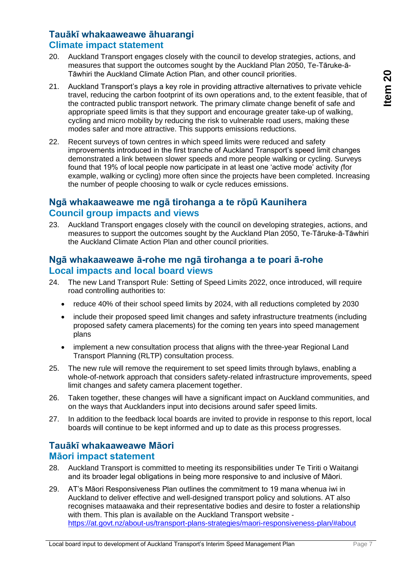### **Tauākī whakaaweawe āhuarangi Climate impact statement**

- 20. Auckland Transport engages closely with the council to develop strategies, actions, and measures that support the outcomes sought by the Auckland Plan 2050, Te-Tāruke-ā-Tāwhiri the Auckland Climate Action Plan, and other council priorities.
- 21. Auckland Transport's plays a key role in providing attractive alternatives to private vehicle travel, reducing the carbon footprint of its own operations and, to the extent feasible, that of the contracted public transport network. The primary climate change benefit of safe and appropriate speed limits is that they support and encourage greater take-up of walking, cycling and micro mobility by reducing the risk to vulnerable road users, making these modes safer and more attractive. This supports emissions reductions.
- 22. Recent surveys of town centres in which speed limits were reduced and safety improvements introduced in the first tranche of Auckland Transport's speed limit changes demonstrated a link between slower speeds and more people walking or cycling. Surveys found that 19% of local people now participate in at least one 'active mode' activity *(*for example, walking or cycling) more often since the projects have been completed. Increasing the number of people choosing to walk or cycle reduces emissions.

#### **Ngā whakaaweawe me ngā tirohanga a te rōpū Kaunihera Council group impacts and views**

23. Auckland Transport engages closely with the council on developing strategies, actions, and measures to support the outcomes sought by the Auckland Plan 2050, Te-Tāruke-ā-Tāwhiri the Auckland Climate Action Plan and other council priorities.

#### **Ngā whakaaweawe ā-rohe me ngā tirohanga a te poari ā-rohe Local impacts and local board views**

- 24. The new Land Transport Rule: Setting of Speed Limits 2022, once introduced, will require road controlling authorities to:
	- reduce 40% of their school speed limits by 2024, with all reductions completed by 2030
	- include their proposed speed limit changes and safety infrastructure treatments (including proposed safety camera placements) for the coming ten years into speed management plans
	- implement a new consultation process that aligns with the three-year Regional Land Transport Planning (RLTP) consultation process.
- 25. The new rule will remove the requirement to set speed limits through bylaws, enabling a whole-of-network approach that considers safety-related infrastructure improvements, speed limit changes and safety camera placement together.
- 26. Taken together, these changes will have a significant impact on Auckland communities, and on the ways that Aucklanders input into decisions around safer speed limits.
- 27. In addition to the feedback local boards are invited to provide in response to this report, local boards will continue to be kept informed and up to date as this process progresses.

### **Tauākī whakaaweawe Māori Māori impact statement**

- 28. Auckland Transport is committed to meeting its responsibilities under Te Tiriti o Waitangi and its broader legal obligations in being more responsive to and inclusive of Māori.
- 29. AT's Māori Responsiveness Plan outlines the commitment to 19 mana whenua iwi in Auckland to deliver effective and well-designed transport policy and solutions. AT also recognises mataawaka and their representative bodies and desire to foster a relationship with them. This plan is available on the Auckland Transport website <https://at.govt.nz/about-us/transport-plans-strategies/maori-responsiveness-plan/#about>